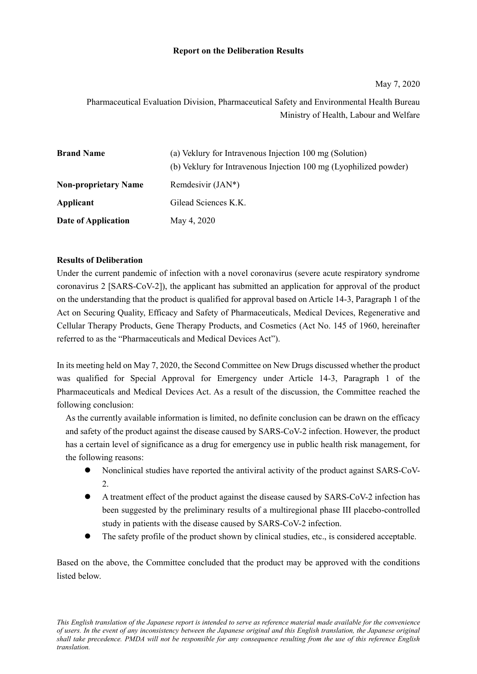## **Report on the Deliberation Results**

# Pharmaceutical Evaluation Division, Pharmaceutical Safety and Environmental Health Bureau Ministry of Health, Labour and Welfare

| <b>Brand Name</b>           | (a) Veklury for Intravenous Injection 100 mg (Solution)           |
|-----------------------------|-------------------------------------------------------------------|
|                             | (b) Veklury for Intravenous Injection 100 mg (Lyophilized powder) |
| <b>Non-proprietary Name</b> | Remdesivir $(JAN^*)$                                              |
| Applicant                   | Gilead Sciences K.K.                                              |
| Date of Application         | May 4, 2020                                                       |

## **Results of Deliberation**

Under the current pandemic of infection with a novel coronavirus (severe acute respiratory syndrome coronavirus 2 [SARS-CoV-2]), the applicant has submitted an application for approval of the product on the understanding that the product is qualified for approval based on Article 14-3, Paragraph 1 of the Act on Securing Quality, Efficacy and Safety of Pharmaceuticals, Medical Devices, Regenerative and Cellular Therapy Products, Gene Therapy Products, and Cosmetics (Act No. 145 of 1960, hereinafter referred to as the "Pharmaceuticals and Medical Devices Act").

In its meeting held on May 7, 2020, the Second Committee on New Drugs discussed whether the product was qualified for Special Approval for Emergency under Article 14-3, Paragraph 1 of the Pharmaceuticals and Medical Devices Act. As a result of the discussion, the Committee reached the following conclusion:

As the currently available information is limited, no definite conclusion can be drawn on the efficacy and safety of the product against the disease caused by SARS-CoV-2 infection. However, the product has a certain level of significance as a drug for emergency use in public health risk management, for the following reasons:

- Nonclinical studies have reported the antiviral activity of the product against SARS-CoV-2.
- A treatment effect of the product against the disease caused by SARS-CoV-2 infection has been suggested by the preliminary results of a multiregional phase III placebo-controlled study in patients with the disease caused by SARS-CoV-2 infection.
- The safety profile of the product shown by clinical studies, etc., is considered acceptable.

Based on the above, the Committee concluded that the product may be approved with the conditions listed below.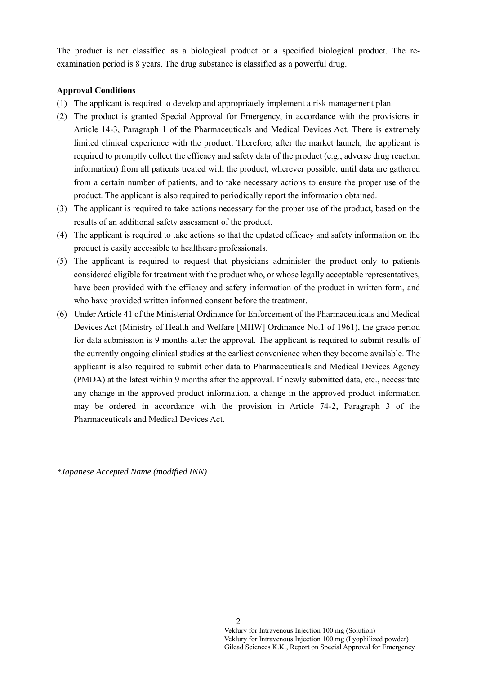The product is not classified as a biological product or a specified biological product. The reexamination period is 8 years. The drug substance is classified as a powerful drug.

## **Approval Conditions**

- (1) The applicant is required to develop and appropriately implement a risk management plan.
- (2) The product is granted Special Approval for Emergency, in accordance with the provisions in Article 14-3, Paragraph 1 of the Pharmaceuticals and Medical Devices Act. There is extremely limited clinical experience with the product. Therefore, after the market launch, the applicant is required to promptly collect the efficacy and safety data of the product (e.g., adverse drug reaction information) from all patients treated with the product, wherever possible, until data are gathered from a certain number of patients, and to take necessary actions to ensure the proper use of the product. The applicant is also required to periodically report the information obtained.
- (3) The applicant is required to take actions necessary for the proper use of the product, based on the results of an additional safety assessment of the product.
- (4) The applicant is required to take actions so that the updated efficacy and safety information on the product is easily accessible to healthcare professionals.
- (5) The applicant is required to request that physicians administer the product only to patients considered eligible for treatment with the product who, or whose legally acceptable representatives, have been provided with the efficacy and safety information of the product in written form, and who have provided written informed consent before the treatment.
- (6) Under Article 41 of the Ministerial Ordinance for Enforcement of the Pharmaceuticals and Medical Devices Act (Ministry of Health and Welfare [MHW] Ordinance No.1 of 1961), the grace period for data submission is 9 months after the approval. The applicant is required to submit results of the currently ongoing clinical studies at the earliest convenience when they become available. The applicant is also required to submit other data to Pharmaceuticals and Medical Devices Agency (PMDA) at the latest within 9 months after the approval. If newly submitted data, etc., necessitate any change in the approved product information, a change in the approved product information may be ordered in accordance with the provision in Article 74-2, Paragraph 3 of the Pharmaceuticals and Medical Devices Act.

*\*Japanese Accepted Name (modified INN)*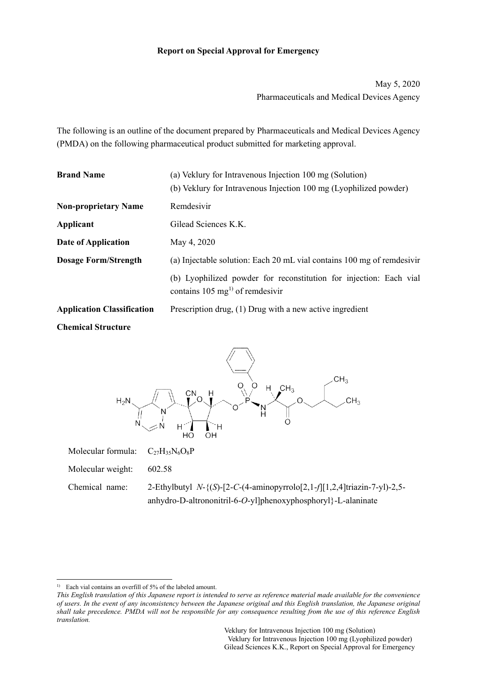## **Report on Special Approval for Emergency**

May 5, 2020 Pharmaceuticals and Medical Devices Agency

The following is an outline of the document prepared by Pharmaceuticals and Medical Devices Agency (PMDA) on the following pharmaceutical product submitted for marketing approval.

| <b>Brand Name</b><br>(a) Veklury for Intravenous Injection 100 mg (Solution) |                                                                                                                   |  |  |
|------------------------------------------------------------------------------|-------------------------------------------------------------------------------------------------------------------|--|--|
|                                                                              | (b) Veklury for Intravenous Injection 100 mg (Lyophilized powder)                                                 |  |  |
| <b>Non-proprietary Name</b>                                                  | Remdesivir                                                                                                        |  |  |
| Applicant                                                                    | Gilead Sciences K.K.                                                                                              |  |  |
| Date of Application                                                          | May 4, 2020                                                                                                       |  |  |
| <b>Dosage Form/Strength</b>                                                  | (a) Injectable solution: Each 20 mL vial contains 100 mg of remdesivir                                            |  |  |
|                                                                              | (b) Lyophilized powder for reconstitution for injection: Each vial<br>contains $105 \text{ mg}^{1}$ of remdesivir |  |  |
| <b>Application Classification</b>                                            | Prescription drug, (1) Drug with a new active ingredient                                                          |  |  |
| <b>Chemical Structure</b>                                                    |                                                                                                                   |  |  |



- Molecular formula:  $C_{27}H_{35}N_6O_8P$
- Molecular weight: 602.58
- Chemical name: 2-Ethylbutyl *N*-{(*S*)-[2-*C*-(4-aminopyrrolo[2,1-*f*][1,2,4]triazin-7-yl)-2,5 anhydro-D-altrononitril-6-*O*-yl]phenoxyphosphoryl}-L-alaninate

<sup>&</sup>lt;sup>1)</sup> Each vial contains an overfill of 5% of the labeled amount.

*This English translation of this Japanese report is intended to serve as reference material made available for the convenience of users. In the event of any inconsistency between the Japanese original and this English translation, the Japanese original shall take precedence. PMDA will not be responsible for any consequence resulting from the use of this reference English translation.*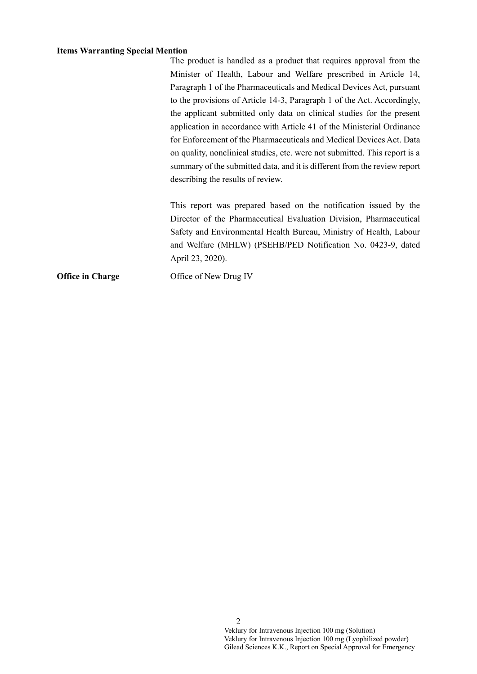### **Items Warranting Special Mention**

The product is handled as a product that requires approval from the Minister of Health, Labour and Welfare prescribed in Article 14, Paragraph 1 of the Pharmaceuticals and Medical Devices Act, pursuant to the provisions of Article 14-3, Paragraph 1 of the Act. Accordingly, the applicant submitted only data on clinical studies for the present application in accordance with Article 41 of the Ministerial Ordinance for Enforcement of the Pharmaceuticals and Medical Devices Act. Data on quality, nonclinical studies, etc. were not submitted. This report is a summary of the submitted data, and it is different from the review report describing the results of review.

This report was prepared based on the notification issued by the Director of the Pharmaceutical Evaluation Division, Pharmaceutical Safety and Environmental Health Bureau, Ministry of Health, Labour and Welfare (MHLW) (PSEHB/PED Notification No. 0423-9, dated April 23, 2020).

**Office in Charge Office of New Drug IV**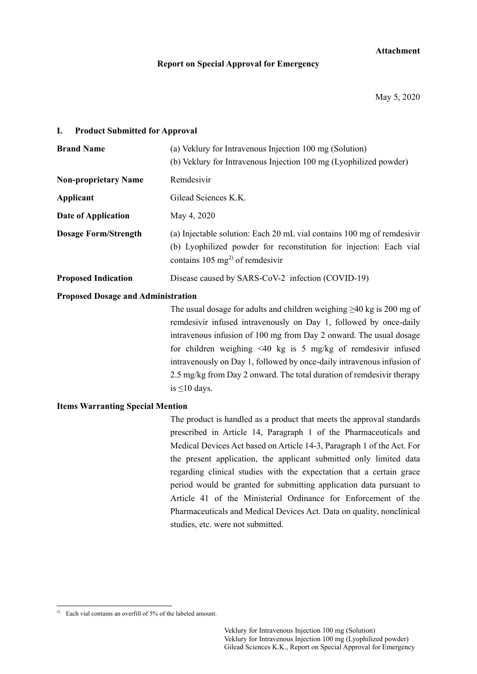## **Attachment**

### **Report on Special Approval for Emergency**

May 5, 2020

## **I. Product Submitted for Approval**

| <b>Brand Name</b>           | (a) Veklury for Intravenous Injection 100 mg (Solution)<br>(b) Veklury for Intravenous Injection 100 mg (Lyophilized powder)                                                                |
|-----------------------------|---------------------------------------------------------------------------------------------------------------------------------------------------------------------------------------------|
| <b>Non-proprietary Name</b> | Remdesivir                                                                                                                                                                                  |
| Applicant                   | Gilead Sciences K.K.                                                                                                                                                                        |
| Date of Application         | May 4, 2020                                                                                                                                                                                 |
| <b>Dosage Form/Strength</b> | (a) Injectable solution: Each 20 mL vial contains 100 mg of remdesivir<br>(b) Lyophilized powder for reconstitution for injection: Each vial<br>contains 105 mg <sup>2)</sup> of remdesivir |
| <b>Proposed Indication</b>  | Disease caused by SARS-CoV-2 infection (COVID-19)                                                                                                                                           |

### **Proposed Dosage and Administration**

The usual dosage for adults and children weighing  $\geq$ 40 kg is 200 mg of remdesivir infused intravenously on Day 1, followed by once-daily intravenous infusion of 100 mg from Day 2 onward. The usual dosage for children weighing <40 kg is 5 mg/kg of remdesivir infused intravenously on Day 1, followed by once-daily intravenous infusion of 2.5 mg/kg from Day 2 onward. The total duration of remdesivir therapy is ≤10 days.

## **Items Warranting Special Mention**

The product is handled as a product that meets the approval standards prescribed in Article 14, Paragraph 1 of the Pharmaceuticals and Medical Devices Act based on Article 14-3, Paragraph 1 of the Act. For the present application, the applicant submitted only limited data regarding clinical studies with the expectation that a certain grace period would be granted for submitting application data pursuant to Article 41 of the Ministerial Ordinance for Enforcement of the Pharmaceuticals and Medical Devices Act. Data on quality, nonclinical studies, etc. were not submitted.

<sup>2)</sup> Each vial contains an overfill of 5% of the labeled amount.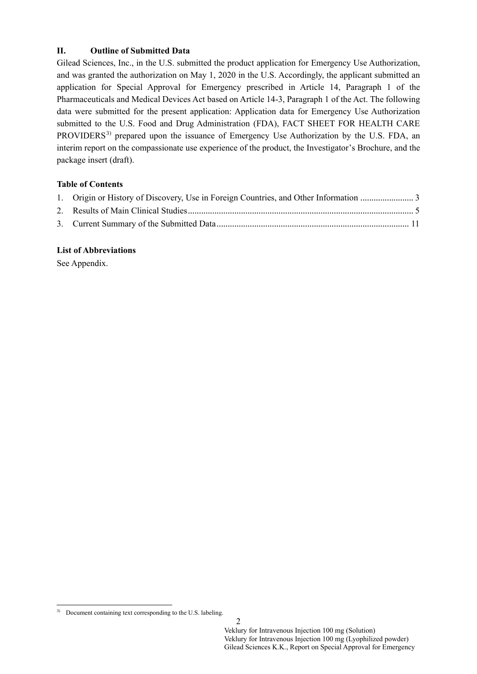## **II. Outline of Submitted Data**

Gilead Sciences, Inc., in the U.S. submitted the product application for Emergency Use Authorization, and was granted the authorization on May 1, 2020 in the U.S. Accordingly, the applicant submitted an application for Special Approval for Emergency prescribed in Article 14, Paragraph 1 of the Pharmaceuticals and Medical Devices Act based on Article 14-3, Paragraph 1 of the Act. The following data were submitted for the present application: Application data for Emergency Use Authorization submitted to the U.S. Food and Drug Administration (FDA), FACT SHEET FOR HEALTH CARE PROVIDERS<sup>3)</sup> prepared upon the issuance of Emergency Use Authorization by the U.S. FDA, an interim report on the compassionate use experience of the product, the Investigator's Brochure, and the package insert (draft).

## **Table of Contents**

## **List of Abbreviations**

See Appendix.

<sup>&</sup>lt;sup>3)</sup> Document containing text corresponding to the U.S. labeling.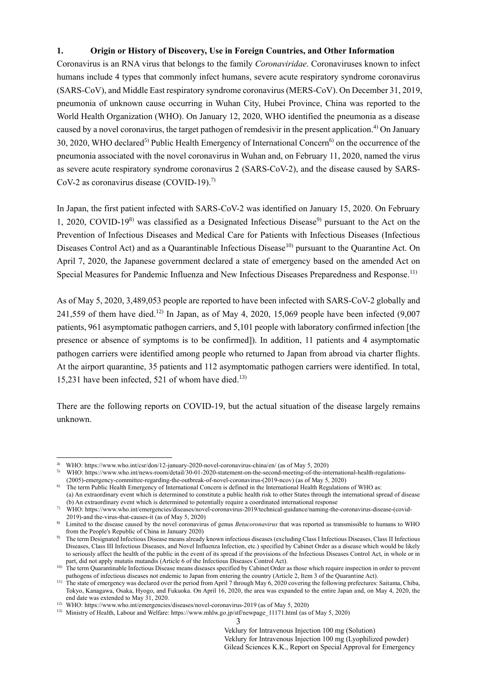## <span id="page-6-0"></span>**1. Origin or History of Discovery, Use in Foreign Countries, and Other Information**

Coronavirus is an RNA virus that belongs to the family *Coronaviridae*. Coronaviruses known to infect humans include 4 types that commonly infect humans, [severe acute respiratory syndrome](https://en.wikipedia.org/wiki/Severe_acute_respiratory_syndrome) coronavirus (SARS-CoV), and Middle East respiratory syndrome coronavirus (MERS-CoV). On December 31, 2019, pneumonia of unknown cause occurring in Wuhan City, Hubei Province, China was reported to the World Health Organization (WHO). On January 12, 2020, WHO identified the pneumonia as a disease caused by a novel coronavirus, the target pathogen of remdesivir in the present application.<sup>4)</sup> On January 30, 2020, WHO declared<sup>5)</sup> Public Health Emergency of International Concern<sup>6)</sup> on the occurrence of the pneumonia associated with the novel coronavirus in Wuhan and, on February 11, 2020, named the virus as severe acute respiratory syndrome coronavirus 2 (SARS-CoV-2), and the disease caused by SARS-CoV-2 as coronavirus disease  $(COVID-19)$ .<sup>7)</sup>

In Japan, the first patient infected with SARS-CoV-2 was identified on January 15, 2020. On February 1, 2020, COVID-19<sup>8)</sup> was classified as a Designated Infectious Disease<sup>9)</sup> pursuant to the Act on the Prevention of Infectious Diseases and Medical Care for Patients with Infectious Diseases (Infectious Diseases Control Act) and as a Quarantinable Infectious Disease<sup>10</sup> pursuant to the Quarantine Act. On April 7, 2020, the Japanese government declared a state of emergency based on the amended Act on Special Measures for Pandemic Influenza and New Infectious Diseases Preparedness and Response.<sup>11)</sup>

As of May 5, 2020, 3,489,053 people are reported to have been infected with SARS-CoV-2 globally and 241,559 of them have died.<sup>12)</sup> In Japan, as of May 4, 2020, 15,069 people have been infected  $(9,007)$ patients, 961 asymptomatic pathogen carriers, and 5,101 people with laboratory confirmed infection [the presence or absence of symptoms is to be confirmed]). In addition, 11 patients and 4 asymptomatic pathogen carriers were identified among people who returned to Japan from abroad via charter flights. At the airport quarantine, 35 patients and 112 asymptomatic pathogen carriers were identified. In total, 15,231 have been infected, 521 of whom have died. 13)

There are the following reports on COVID-19, but the actual situation of the disease largely remains unknown.

<sup>1</sup> 4) WHO[: https://www.who.int/csr/don/12-january-2020-novel-coronavirus-china/en/ \(as of](https://www.who.int/csr/don/12-january-2020-novel-coronavirus-china/en/%20(as%20of) May 5, 2020)

WHO: https://www.who.int/news-room/detail/30-01-2020-statement-on-the-second-meeting-of-the-international-health-regulations-

<sup>(2005)-</sup>emergency-committee-regarding-the-outbreak-of-novel-coronavirus-(2019-ncov) (as of May 5, 2020) 6) The term Public Health Emergency of International Concern is defined in the International Health Regulations of WHO as:

<sup>(</sup>a) An extraordinary event which is determined to constitute a public health risk to other States through the international spread of disease (b) An extraordinary event which is determined to potentially require a coordinated international response

<sup>7)</sup> WHO: [https://www.who.int/emergencies/diseases/novel-coronavirus-2019/technical-guidance/naming-the-coronavirus-disease-\(covid-](https://www.who.int/emergencies/diseases/novel-coronavirus-2019/technical-guidance/naming-the-coronavirus-disease-(covid-2019)-and)[2019\)-and](https://www.who.int/emergencies/diseases/novel-coronavirus-2019/technical-guidance/naming-the-coronavirus-disease-(covid-2019)-and) the-virus-that-causes-it (as of May 5, 2020)

<sup>8)</sup> Limited to the disease caused by the novel coronavirus of genus *Betacoronavirus* that was reported as transmissible to humans to WHO from the People's Republic of China in January 2020)

<sup>9)</sup> The term Designated Infectious Disease means already known infectious diseases (excluding Class I Infectious Diseases, Class II Infectious Diseases, Class III Infectious Diseases, and Novel Influenza Infection, etc.) specified by Cabinet Order as a disease which would be likely to seriously affect the health of the public in the event of its spread if the provisions of the Infectious Diseases Control Act, in whole or in part, did not apply mutatis mutandis (Article 6 of the Infectious Diseases Control Act).

<sup>&</sup>lt;sup>10)</sup> The term Quarantinable Infectious Disease means diseases specified by Cabinet Order as those which require inspection in order to prevent pathogens of infectious diseases not endemic to Japan from entering the country (Article 2, Item 3 of the Quarantine Act).

<sup>11)</sup> The state of emergency was declared over the period from April 7 through May 6, 2020 covering the following prefectures: Saitama, Chiba, Tokyo, Kanagawa, Osaka, Hyogo, and Fukuoka. On April 16, 2020, the area was expanded to the entire Japan and, on May 4, 2020, the end date was extended to May 31, 2020.

<sup>&</sup>lt;sup>12)</sup> WHO[: https://www.who.int/emergencies/diseases/novel-coronavirus-2019](https://www.who.int/emergencies/diseases/novel-coronavirus-2019) (as of May 5, 2020)

<sup>&</sup>lt;sup>13)</sup> Ministry of Health, Labour and Welfare: https://www.mhlw.go.jp/stf/newpage 11171.html (as of May 5, 2020)

<sup>3</sup>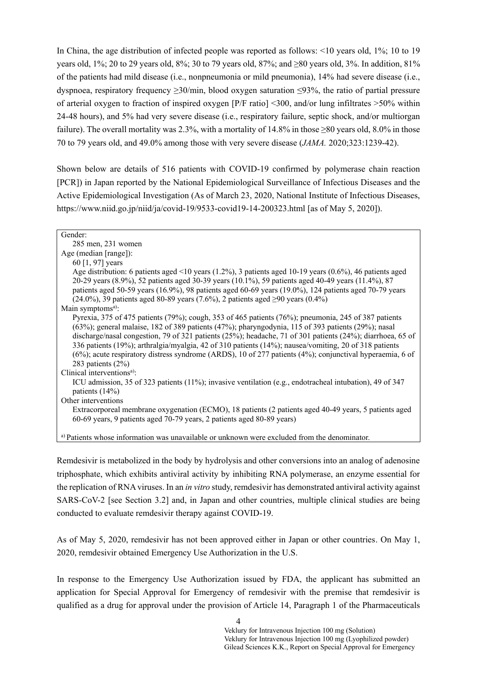In China, the age distribution of infected people was reported as follows: <10 years old, 1%; 10 to 19 years old, 1%; 20 to 29 years old, 8%; 30 to 79 years old, 87%; and ≥80 years old, 3%. In addition, 81% of the patients had mild disease (i.e., nonpneumonia or mild pneumonia), 14% had severe disease (i.e., dyspnoea, respiratory frequency ≥30/min, blood oxygen saturation ≤93%, the ratio of partial pressure of arterial oxygen to fraction of inspired oxygen  $[ P/F$  ratio] <300, and/or lung infiltrates >50% within 24-48 hours), and 5% had very severe disease (i.e., respiratory failure, septic shock, and/or multiorgan failure). The overall mortality was 2.3%, with a mortality of 14.8% in those ≥80 years old, 8.0% in those 70 to 79 years old, and 49.0% among those with very severe disease (*JAMA.* 2020;323:1239-42).

Shown below are details of 516 patients with COVID-19 confirmed by polymerase chain reaction [PCR]) in Japan reported by the National Epidemiological Surveillance of Infectious Diseases and the Active Epidemiological Investigation (As of March 23, 2020, National Institute of Infectious Diseases, <https://www.niid.go.jp/niid/ja/covid-19/9533-covid19-14-200323.html> [as of May 5, 2020]).

#### Gender:

285 men, 231 women

Age (median [range]):

60 [1, 97] years

Age distribution: 6 patients aged <10 years (1.2%), 3 patients aged 10-19 years (0.6%), 46 patients aged 20-29 years (8.9%), 52 patients aged 30-39 years (10.1%), 59 patients aged 40-49 years (11.4%), 87 patients aged 50-59 years (16.9%), 98 patients aged 60-69 years (19.0%), 124 patients aged 70-79 years (24.0%), 39 patients aged 80-89 years (7.6%), 2 patients aged  $\geq 90$  years (0.4%)

Main symptoms<sup>a)</sup>:

Pyrexia, 375 of 475 patients (79%); cough, 353 of 465 patients (76%); pneumonia, 245 of 387 patients (63%); general malaise, 182 of 389 patients (47%); pharyngodynia, 115 of 393 patients (29%); nasal discharge/nasal congestion, 79 of 321 patients (25%); headache, 71 of 301 patients (24%); diarrhoea, 65 of 336 patients (19%); arthralgia/myalgia, 42 of 310 patients (14%); nausea/vomiting, 20 of 318 patients (6%); acute respiratory distress syndrome (ARDS), 10 of 277 patients (4%); conjunctival hyperaemia, 6 of 283 patients (2%)

#### Clinical interventions<sup>a)</sup>:

ICU admission, 35 of 323 patients (11%); invasive ventilation (e.g., endotracheal intubation), 49 of 347 patients (14%)

Other interventions

Extracorporeal membrane oxygenation (ECMO), 18 patients (2 patients aged 40-49 years, 5 patients aged 60-69 years, 9 patients aged 70-79 years, 2 patients aged 80-89 years)

a) Patients whose information was unavailable or unknown were excluded from the denominator.

Remdesivir is metabolized in the body by hydrolysis and other conversions into an analog of adenosine triphosphate, which exhibits antiviral activity by inhibiting RNA polymerase, an enzyme essential for the replication of RNA viruses. In an *in vitro* study, remdesivir has demonstrated antiviral activity against SARS-CoV-2 [see Section 3.2] and, in Japan and other countries, multiple clinical studies are being conducted to evaluate remdesivir therapy against COVID-19.

As of May 5, 2020, remdesivir has not been approved either in Japan or other countries. On May 1, 2020, remdesivir obtained Emergency Use Authorization in the U.S.

In response to the Emergency Use Authorization issued by FDA, the applicant has submitted an application for Special Approval for Emergency of remdesivir with the premise that remdesivir is qualified as a drug for approval under the provision of Article 14, Paragraph 1 of the Pharmaceuticals

 $\Delta$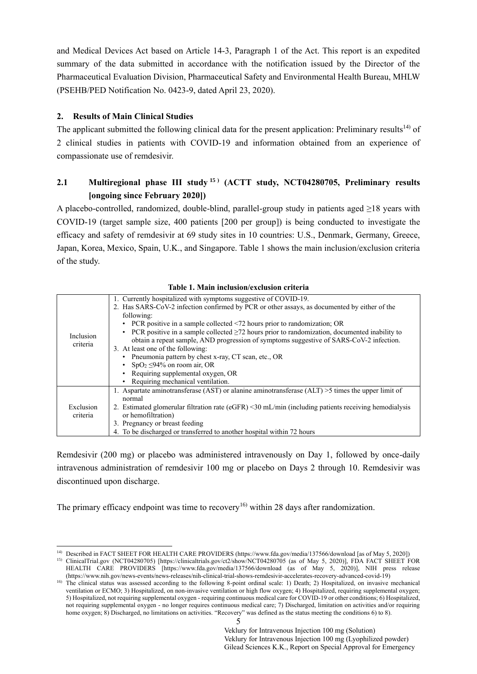and Medical Devices Act based on Article 14-3, Paragraph 1 of the Act. This report is an expedited summary of the data submitted in accordance with the notification issued by the Director of the Pharmaceutical Evaluation Division, Pharmaceutical Safety and Environmental Health Bureau, MHLW (PSEHB/PED Notification No. 0423-9, dated April 23, 2020).

## <span id="page-8-0"></span>**2. Results of Main Clinical Studies**

-

The applicant submitted the following clinical data for the present application: Preliminary results<sup>14)</sup> of 2 clinical studies in patients with COVID-19 and information obtained from an experience of compassionate use of remdesivir.

# **2.1 Multiregional phase III study <sup>15</sup>(ACTT study, NCT04280705, Preliminary results [ongoing since February 2020]**

A placebo-controlled, randomized, double-blind, parallel-group study in patients aged ≥18 years with COVID-19 (target sample size, 400 patients [200 per group]) is being conducted to investigate the efficacy and safety of remdesivir at 69 study sites in 10 countries: U.S., Denmark, Germany, Greece, Japan, Korea, Mexico, Spain, U.K., and Singapore. Table 1 shows the main inclusion/exclusion criteria of the study.

| Inclusion<br>criteria | 1. Currently hospitalized with symptoms suggestive of COVID-19.<br>2. Has SARS-CoV-2 infection confirmed by PCR or other assays, as documented by either of the<br>following:<br>• PCR positive in a sample collected <72 hours prior to randomization; OR<br>PCR positive in a sample collected $\geq$ 72 hours prior to randomization, documented inability to<br>obtain a repeat sample, AND progression of symptoms suggestive of SARS-CoV-2 infection.<br>3. At least one of the following:<br>Pneumonia pattern by chest x-ray, CT scan, etc., OR<br>$SpO2 \leq 94\%$ on room air, OR<br>• Requiring supplemental oxygen, OR<br>Requiring mechanical ventilation. |
|-----------------------|-------------------------------------------------------------------------------------------------------------------------------------------------------------------------------------------------------------------------------------------------------------------------------------------------------------------------------------------------------------------------------------------------------------------------------------------------------------------------------------------------------------------------------------------------------------------------------------------------------------------------------------------------------------------------|
| Exclusion<br>criteria | 1. Aspartate aminotransferase (AST) or alanine aminotransferase (ALT) $>$ 5 times the upper limit of<br>normal<br>2. Estimated glomerular filtration rate ( $eGFR$ ) $\leq$ 30 mL/min (including patients receiving hemodialysis<br>or hemofiltration)<br>3. Pregnancy or breast feeding<br>4. To be discharged or transferred to another hospital within 72 hours                                                                                                                                                                                                                                                                                                      |

| Table 1. Main inclusion/exclusion criteria |  |  |
|--------------------------------------------|--|--|
|--------------------------------------------|--|--|

Remdesivir (200 mg) or placebo was administered intravenously on Day 1, followed by once-daily intravenous administration of remdesivir 100 mg or placebo on Days 2 through 10. Remdesivir was discontinued upon discharge.

The primary efficacy endpoint was time to recovery<sup>16)</sup> within 28 days after randomization.

<sup>14)</sup> Described in FACT SHEET FOR HEALTH CARE PROVIDERS [\(https://www.fda.gov/media/137566/download](https://www.fda.gov/media/137566/download) [as of May 5, 2020]) 15) ClinicalTrial.gov (NCT04280705) [\[https://clinicaltrials.gov/ct2/show/NCT04280705](https://clinicaltrials.gov/ct2/show/NCT04280705) (as of May 5, 2020)], FDA FACT SHEET FOR

HEALTH CARE PROVIDERS [https://www.fda.gov/media/137566/download (as of May 5, 2020)], NIH press release [\(https://www.nih.gov/news-events/news-releases/nih-clinical-trial-shows-remdesivir-accelerates-recovery-advanced-covid-19\)](https://www.nih.gov/news-events/news-releases/nih-clinical-trial-shows-remdesivir-accelerates-recovery-advanced-covid-19)

<sup>&</sup>lt;sup>16)</sup> The clinical status was assessed according to the following 8-point ordinal scale: 1) Death; 2) Hospitalized, on invasive mechanical ventilation or ECMO; 3) Hospitalized, on non-invasive ventilation or high flow oxygen; 4) Hospitalized, requiring supplemental oxygen; 5) Hospitalized, not requiring supplemental oxygen - requiring continuous medical care for COVID-19 or other conditions; 6) Hospitalized, not requiring supplemental oxygen - no longer requires continuous medical care; 7) Discharged, limitation on activities and/or requiring home oxygen; 8) Discharged, no limitations on activities. "Recovery" was defined as the status meeting the conditions 6) to 8).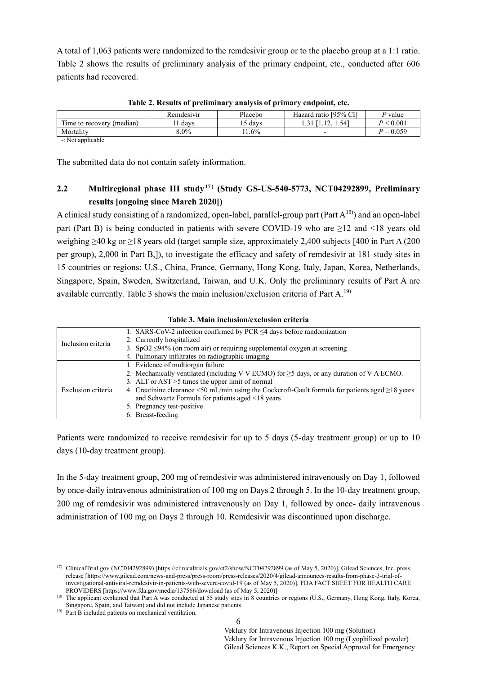A total of 1,063 patients were randomized to the remdesivir group or to the placebo group at a 1:1 ratio. Table 2 shows the results of preliminary analysis of the primary endpoint, etc., conducted after 606 patients had recovered.

|                                                                           | Remdesivir | Placebo | Hazard ratio [95% CI] | <sup>D</sup> value |
|---------------------------------------------------------------------------|------------|---------|-----------------------|--------------------|
| m.<br>(median)<br>l'ime to recovery                                       | davs       | davs    | 1.12, 1.54            | P < 0.001          |
| Mortality                                                                 | $3.0\%$    | $.6\%$  |                       | $P = 0.059$        |
| $N_{\alpha\pm\alpha}$ and $\mathbf{1}_{\alpha}$ and $\mathbf{1}_{\alpha}$ |            |         |                       |                    |

**Table 2. Results of preliminary analysis of primary endpoint, etc.**

-: Not applicable

The submitted data do not contain safety information.

# **2.2 Multiregional phase III study<sup>17</sup>(Study GS-US-540-5773, NCT04292899, Preliminary results [ongoing since March 2020]**

A clinical study consisting of a randomized, open-label, parallel-group part (Part  $A^{18}$ ) and an open-label part (Part B) is being conducted in patients with severe COVID-19 who are  $\geq$ 12 and <18 years old weighing ≥40 kg or ≥18 years old (target sample size, approximately 2,400 subjects [400 in Part A (200 per group), 2,000 in Part B,]), to investigate the efficacy and safety of remdesivir at 181 study sites in 15 countries or regions: U.S., China, France, Germany, Hong Kong, Italy, Japan, Korea, Netherlands, Singapore, Spain, Sweden, Switzerland, Taiwan, and U.K. Only the preliminary results of Part A are available currently. Table 3 shows the main inclusion/exclusion criteria of Part A.<sup>19)</sup>

| Table 3. Main inclusion/exclusion criteria |  |  |  |  |  |
|--------------------------------------------|--|--|--|--|--|
|--------------------------------------------|--|--|--|--|--|

| Inclusion criteria | 1. SARS-CoV-2 infection confirmed by PCR $\leq$ 4 days before randomization                                  |
|--------------------|--------------------------------------------------------------------------------------------------------------|
|                    | 2. Currently hospitalized                                                                                    |
|                    | 3. SpO2 $\leq$ 94% (on room air) or requiring supplemental oxygen at screening                               |
|                    | 4. Pulmonary infiltrates on radiographic imaging                                                             |
| Exclusion criteria | 1. Evidence of multiorgan failure                                                                            |
|                    | 2. Mechanically ventilated (including V-V ECMO) for $\geq$ 5 days, or any duration of V-A ECMO.              |
|                    | 3. ALT or AST > 5 times the upper limit of normal                                                            |
|                    | 4. Creatinine clearance $\leq 50$ mL/min using the Cockcroft-Gault formula for patients aged $\geq 18$ years |
|                    | and Schwartz Formula for patients aged <18 years                                                             |
|                    | 5. Pregnancy test-positive                                                                                   |
|                    | 6. Breast-feeding                                                                                            |

Patients were randomized to receive remdesivir for up to 5 days (5-day treatment group) or up to 10 days (10-day treatment group).

In the 5-day treatment group, 200 mg of remdesivir was administered intravenously on Day 1, followed by once-daily intravenous administration of 100 mg on Days 2 through 5. In the 10-day treatment group, 200 mg of remdesivir was administered intravenously on Day 1, followed by once- daily intravenous administration of 100 mg on Days 2 through 10. Remdesivir was discontinued upon discharge.

<sup>&</sup>lt;sup>17)</sup> ClinicalTrial.gov (NCT04292899) [\[https://clinicaltrials.gov/ct2/show/NCT04292899 \(as of](https://clinicaltrials.gov/ct2/show/NCT04292899%20(as%20of) May 5, 2020)], Gilead Sciences, Inc. press release [\[https://www.gilead.com/news-and-press/press-room/press-releases/2020/4/gilead-announces-results-from-phase-3-trial-of](https://www.gilead.com/news-and-press/press-room/press-releases/2020/4/gilead-announces-results-from-phase-3-trial-ofinvestigational-antiviral-remdesivir-in-patients-with-severe-covid-19)[investigational-antiviral-remdesivir-in-patients-with-severe-covid-19](https://www.gilead.com/news-and-press/press-room/press-releases/2020/4/gilead-announces-results-from-phase-3-trial-ofinvestigational-antiviral-remdesivir-in-patients-with-severe-covid-19) (as of May 5, 2020)], FDA FACT SHEET FOR HEALTH CARE PROVIDERS [https://www.fda.gov/media/137566/download (as of May 5, 2020)]

<sup>&</sup>lt;sup>18)</sup> The applicant explained that Part A was conducted at 55 study sites in 8 countries or regions (U.S., Germany, Hong Kong, Italy, Korea, Singapore, Spain, and Taiwan) and did not include Japanese patients.

<sup>&</sup>lt;sup>19)</sup> Part B included patients on mechanical ventilation.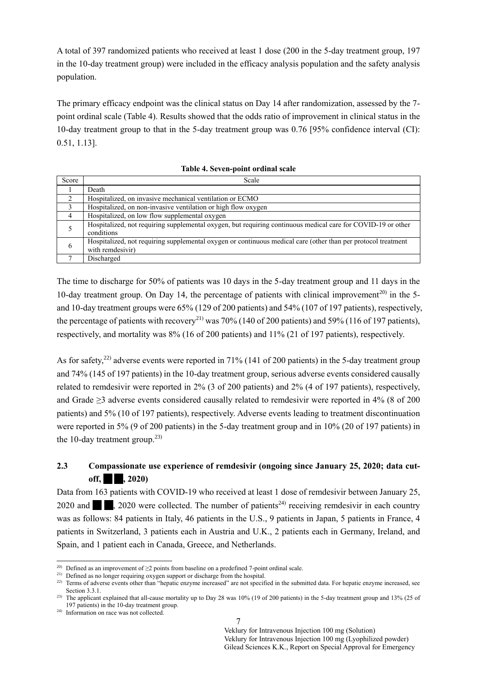A total of 397 randomized patients who received at least 1 dose (200 in the 5-day treatment group, 197 in the 10-day treatment group) were included in the efficacy analysis population and the safety analysis population.

The primary efficacy endpoint was the clinical status on Day 14 after randomization, assessed by the 7 point ordinal scale (Table 4). Results showed that the odds ratio of improvement in clinical status in the 10-day treatment group to that in the 5-day treatment group was 0.76 [95% confidence interval (CI): 0.51, 1.13].

| Score         | Scale                                                                                                                             |
|---------------|-----------------------------------------------------------------------------------------------------------------------------------|
|               | Death                                                                                                                             |
| $\mathcal{D}$ | Hospitalized, on invasive mechanical ventilation or ECMO                                                                          |
| 3             | Hospitalized, on non-invasive ventilation or high flow oxygen                                                                     |
| 4             | Hospitalized, on low flow supplemental oxygen                                                                                     |
|               | Hospitalized, not requiring supplemental oxygen, but requiring continuous medical care for COVID-19 or other<br>conditions        |
| 6             | Hospitalized, not requiring supplemental oxygen or continuous medical care (other than per protocol treatment<br>with remdesivir) |
|               | Discharged                                                                                                                        |

**Table 4. Seven-point ordinal scale**

The time to discharge for 50% of patients was 10 days in the 5-day treatment group and 11 days in the 10-day treatment group. On Day 14, the percentage of patients with clinical improvement<sup>20)</sup> in the 5and 10-day treatment groups were 65% (129 of 200 patients) and 54% (107 of 197 patients), respectively, the percentage of patients with recovery<sup>21)</sup> was 70% (140 of 200 patients) and 59% (116 of 197 patients), respectively, and mortality was 8% (16 of 200 patients) and 11% (21 of 197 patients), respectively.

As for safety,<sup>22)</sup> adverse events were reported in 71% (141 of 200 patients) in the 5-day treatment group and 74% (145 of 197 patients) in the 10-day treatment group, serious adverse events considered causally related to remdesivir were reported in 2% (3 of 200 patients) and 2% (4 of 197 patients), respectively, and Grade ≥3 adverse events considered causally related to remdesivir were reported in 4% (8 of 200 patients) and 5% (10 of 197 patients), respectively. Adverse events leading to treatment discontinuation were reported in 5% (9 of 200 patients) in the 5-day treatment group and in 10% (20 of 197 patients) in the 10-day treatment group. $^{23)}$ 

# **2.3 Compassionate use experience of remdesivir (ongoing since January 25, 2020; data cut-** $\text{off.} \quad \blacksquare$  . 2020)

Data from 163 patients with COVID-19 who received at least 1 dose of remdesivir between January 25, 2020 and  $\blacksquare$ , 2020 were collected. The number of patients<sup>24)</sup> receiving remdesivir in each country was as follows: 84 patients in Italy, 46 patients in the U.S., 9 patients in Japan, 5 patients in France, 4 patients in Switzerland, 3 patients each in Austria and U.K., 2 patients each in Germany, Ireland, and Spain, and 1 patient each in Canada, Greece, and Netherlands.

<sup>&</sup>lt;sup>20)</sup> Defined as an improvement of  $\geq$ 2 points from baseline on a predefined 7-point ordinal scale.

<sup>&</sup>lt;sup>21)</sup> Defined as no longer requiring oxygen support or discharge from the hospital.

<sup>&</sup>lt;sup>22)</sup> Terms of adverse events other than "hepatic enzyme increased" are not specified in the submitted data. For hepatic enzyme increased, see Section 3.3.1.

<sup>&</sup>lt;sup>23)</sup> The applicant explained that all-cause mortality up to Day 28 was  $10\%$  (19 of 200 patients) in the 5-day treatment group and 13% (25 of 197 patients) in the 10-day treatment group.

<sup>24)</sup> Information on race was not collected.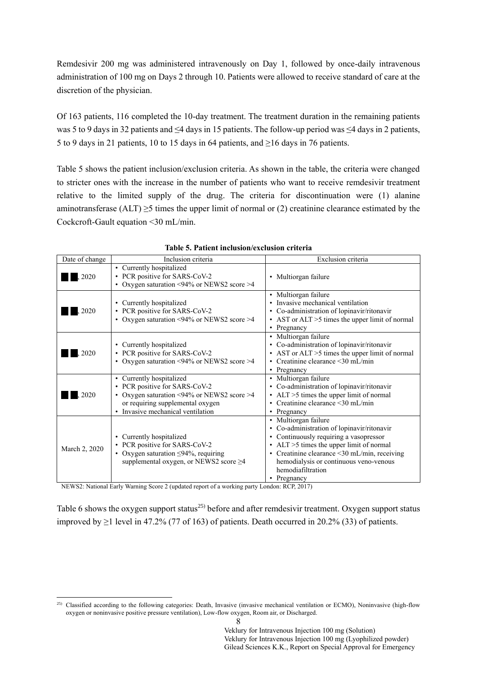Remdesivir 200 mg was administered intravenously on Day 1, followed by once-daily intravenous administration of 100 mg on Days 2 through 10. Patients were allowed to receive standard of care at the discretion of the physician.

Of 163 patients, 116 completed the 10-day treatment. The treatment duration in the remaining patients was 5 to 9 days in 32 patients and ≤4 days in 15 patients. The follow-up period was ≤4 days in 2 patients, 5 to 9 days in 21 patients, 10 to 15 days in 64 patients, and ≥16 days in 76 patients.

Table 5 shows the patient inclusion/exclusion criteria. As shown in the table, the criteria were changed to stricter ones with the increase in the number of patients who want to receive remdesivir treatment relative to the limited supply of the drug. The criteria for discontinuation were (1) alanine aminotransferase (ALT)  $\geq$ 5 times the upper limit of normal or (2) creatinine clearance estimated by the Cockcroft-Gault equation <30 mL/min.

| Date of change | Inclusion criteria                                                                                                                                                           | Exclusion criteria                                                                                                                                                                                                                                                                 |
|----------------|------------------------------------------------------------------------------------------------------------------------------------------------------------------------------|------------------------------------------------------------------------------------------------------------------------------------------------------------------------------------------------------------------------------------------------------------------------------------|
| .2020          | • Currently hospitalized<br>PCR positive for SARS-CoV-2<br>Oxygen saturation <94% or NEWS2 score >4                                                                          | • Multiorgan failure                                                                                                                                                                                                                                                               |
| 2020           | Currently hospitalized<br>٠<br>PCR positive for SARS-CoV-2<br>Oxygen saturation <94% or NEWS2 score >4                                                                       | • Multiorgan failure<br>Invasive mechanical ventilation<br>• Co-administration of lopinavir/ritonavir<br>• AST or ALT >5 times the upper limit of normal<br>• Pregnancy                                                                                                            |
| 2020           | Currently hospitalized<br>٠<br>PCR positive for SARS-CoV-2<br>٠<br>Oxygen saturation <94% or NEWS2 score >4                                                                  | · Multiorgan failure<br>• Co-administration of lopinavir/ritonavir<br>• AST or ALT >5 times the upper limit of normal<br>• Creatinine clearance $\leq$ 30 mL/min<br>• Pregnancy                                                                                                    |
| 2020           | • Currently hospitalized<br>PCR positive for SARS-CoV-2<br>Oxygen saturation <94% or NEWS2 score >4<br>or requiring supplemental oxygen<br>• Invasive mechanical ventilation | · Multiorgan failure<br>• Co-administration of lopinavir/ritonavir<br>• ALT >5 times the upper limit of normal<br>• Creatinine clearance <30 mL/min<br>• Pregnancy                                                                                                                 |
| March 2, 2020  | Currently hospitalized<br>PCR positive for SARS-CoV-2<br>Oxygen saturation $\leq$ 94%, requiring<br>٠<br>supplemental oxygen, or NEWS2 score ≥4                              | • Multiorgan failure<br>• Co-administration of lopinavir/ritonavir<br>Continuously requiring a vasopressor<br>• ALT >5 times the upper limit of normal<br>• Creatinine clearance <30 mL/min, receiving<br>hemodialysis or continuous veno-venous<br>hemodiafiltration<br>Pregnancy |

**Table 5. Patient inclusion/exclusion criteria**

NEWS2: National Early Warning Score 2 (updated report of a working party London: RCP, 2017)

Table 6 shows the oxygen support status<sup>25)</sup> before and after remdesivir treatment. Oxygen support status improved by  $\geq$ 1 level in 47.2% (77 of 163) of patients. Death occurred in 20.2% (33) of patients.

<sup>1</sup> <sup>25)</sup> Classified according to the following categories: Death, Invasive (invasive mechanical ventilation or ECMO), Noninvasive (high-flow oxygen or noninvasive positive pressure ventilation), Low-flow oxygen, Room air, or Discharged.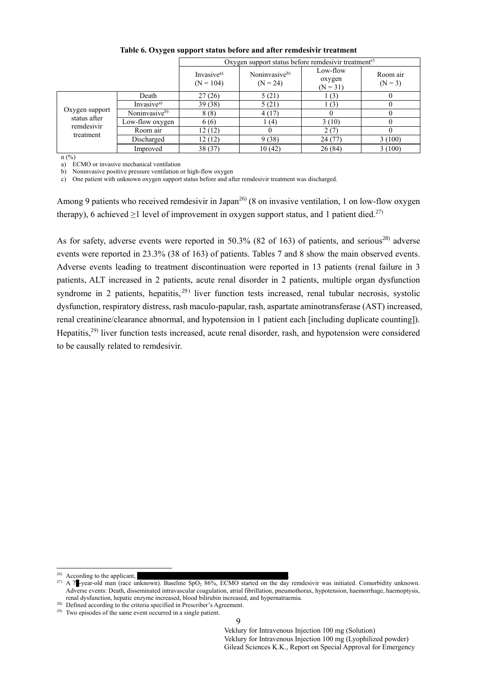|                                                                  |                           | Oxygen support status before remdesivir treatment <sup>c)</sup> |                                         |                                  |                       |
|------------------------------------------------------------------|---------------------------|-----------------------------------------------------------------|-----------------------------------------|----------------------------------|-----------------------|
|                                                                  |                           | Invasive <sup>a)</sup><br>$(N = 104)$                           | Noninvasive <sup>b)</sup><br>$(N = 24)$ | Low-flow<br>oxygen<br>$(N = 31)$ | Room air<br>$(N = 3)$ |
|                                                                  | Death                     | 27(26)                                                          | 5(21)                                   | 1(3)                             |                       |
| Oxygen support<br>status after<br>remdesivir<br>treatment<br>(0) | Invasive <sup>a)</sup>    | 39(38)                                                          | 5(21)                                   | 1(3)                             |                       |
|                                                                  | Noninvasive <sup>b)</sup> | 8(8)                                                            | 4(17)                                   |                                  |                       |
|                                                                  | Low-flow oxygen           | 6(6)                                                            | (4)                                     | 3(10)                            |                       |
|                                                                  | Room air                  | 12(12)                                                          |                                         | 2(7)                             |                       |
|                                                                  | Discharged                | 12 (12)                                                         | 9(38)                                   | 24(77)                           | 3(100)                |
|                                                                  | Improved                  | 38 (37)                                                         | 10(42)                                  | 26(84)                           | 3(100)                |

### **Table 6. Oxygen support status before and after remdesivir treatment**

n (%)

a) ECMO or invasive mechanical ventilation

b) Noninvasive positive pressure ventilation or high-flow oxygen

c) One patient with unknown oxygen support status before and after remdesivir treatment was discharged.

Among 9 patients who received remdesivir in Japan<sup>26)</sup> (8 on invasive ventilation, 1 on low-flow oxygen therapy), 6 achieved  $\geq$ 1 level of improvement in oxygen support status, and 1 patient died.<sup>27)</sup>

As for safety, adverse events were reported in 50.3% (82 of 163) of patients, and serious<sup>28)</sup> adverse events were reported in 23.3% (38 of 163) of patients. Tables 7 and 8 show the main observed events. Adverse events leading to treatment discontinuation were reported in 13 patients (renal failure in 3 patients, ALT increased in 2 patients, acute renal disorder in 2 patients, multiple organ dysfunction syndrome in 2 patients, hepatitis,  $29$  liver function tests increased, renal tubular necrosis, systolic dysfunction, respiratory distress, rash maculo-papular, rash, aspartate aminotransferase (AST) increased, renal creatinine/clearance abnormal, and hypotension in 1 patient each [including duplicate counting]). Hepatitis,29) liver function tests increased, acute renal disorder, rash, and hypotension were considered to be causally related to remdesivir.

 $26)$  According to the applicant.

<sup>&</sup>lt;sup>27)</sup> A 7<sup>-</sup>-year-old man (race unknown). Baseline SpO<sub>2</sub> 86%, ECMO started on the day remdesivir was initiated. Comorbidity unknown. Adverse events: Death, disseminated intravascular coagulation, atrial fibrillation, pneumothorax, hypotension, haemorrhage, haemoptysis, renal dysfunction, hepatic enzyme increased, blood bilirubin increased, and hypernatraemia.

<sup>&</sup>lt;sup>28)</sup> Defined according to the criteria specified in Prescriber's Agreement.

 $29)$  Two episodes of the same event occurred in a single patient.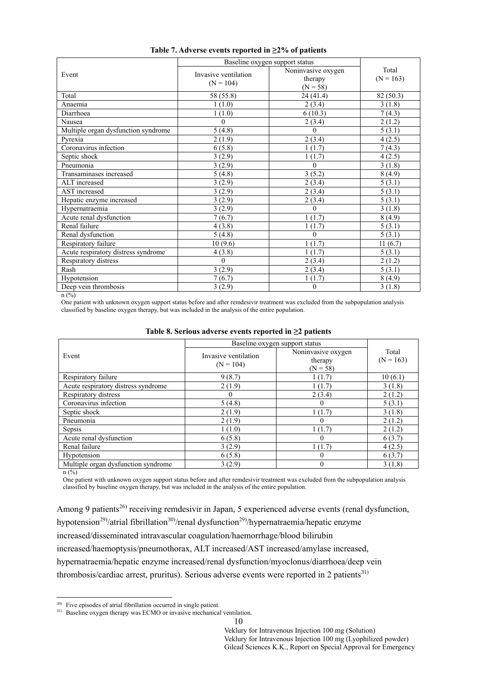|                                     | Baseline oxygen support status      |                    |             |
|-------------------------------------|-------------------------------------|--------------------|-------------|
| Event                               | Invasive ventilation<br>$(N = 104)$ | Noninvasive oxygen | Total       |
|                                     |                                     | therapy            | $(N = 163)$ |
|                                     |                                     | $(N = 58)$         |             |
| Total                               | 58 (55.8)                           | 24(41.4)           | 82 (50.3)   |
| Anaemia                             | 1(1.0)                              | 2(3.4)             | 3(1.8)      |
| Diarrhoea                           | 1(1.0)                              | 6(10.3)            | 7(4.3)      |
| Nausea                              | 0                                   | 2(3.4)             | 2(1.2)      |
| Multiple organ dysfunction syndrome | 5(4.8)                              | 0                  | 5(3.1)      |
| Pyrexia                             | 2(1.9)                              | 2(3.4)             | 4(2.5)      |
| Coronavirus infection               | 6(5.8)                              | 1(1.7)             | 7(4.3)      |
| Septic shock                        | 3(2.9)                              | 1(1.7)             | 4(2.5)      |
| Pneumonia                           | 3(2.9)                              | $\theta$           | 3(1.8)      |
| Transaminases increased             | 5(4.8)                              | 3(5.2)             | 8(4.9)      |
| ALT increased                       | 3(2.9)                              | 2(3.4)             | 5(3.1)      |
| AST increased                       | 3(2.9)                              | 2(3.4)             | 5(3.1)      |
| Hepatic enzyme increased            | 3(2.9)                              | 2(3.4)             | 5(3.1)      |
| Hypernatraemia                      | 3(2.9)                              | $\Omega$           | 3(1.8)      |
| Acute renal dysfunction             | 7(6.7)                              | 1(1.7)             | 8(4.9)      |
| Renal failure                       | 4(3.8)                              | 1(1.7)             | 5(3.1)      |
| Renal dysfunction                   | 5(4.8)                              | $\theta$           | 5(3.1)      |
| Respiratory failure                 | 10(9.6)                             | 1(1.7)             | 11(6.7)     |
| Acute respiratory distress syndrome | 4(3.8)                              | 1(1.7)             | 5(3.1)      |
| Respiratory distress                | 0                                   | 2(3.4)             | 2(1.2)      |
| Rash                                | 3(2.9)                              | 2(3.4)             | 5(3.1)      |
| Hypotension                         | 7(6.7)                              | 1(1.7)             | 8(4.9)      |
| Deep vein thrombosis                | 3(2.9)                              | 0                  | 3(1.8)      |

#### **Table 7. Adverse events reported in ≥2% of patients**

 $n (%)$ 

One patient with unknown oxygen support status before and after remdesivir treatment was excluded from the subpopulation analysis classified by baseline oxygen therapy, but was included in the analysis of the entire population.

|  |  |  |  | Table 8. Serious adverse events reported in $\geq 2$ patients |  |  |
|--|--|--|--|---------------------------------------------------------------|--|--|
|--|--|--|--|---------------------------------------------------------------|--|--|

|                                     | Baseline oxygen support status      |                                             |                      |
|-------------------------------------|-------------------------------------|---------------------------------------------|----------------------|
| Event                               | Invasive ventilation<br>$(N = 104)$ | Noninvasive oxygen<br>therapy<br>$(N = 58)$ | Total<br>$(N = 163)$ |
| Respiratory failure                 | 9(8.7)                              | 1(1.7)                                      | 10(6.1)              |
| Acute respiratory distress syndrome | 2(1.9)                              | 1(1.7)                                      | 3(1.8)               |
| Respiratory distress                | $\theta$                            | 2(3.4)                                      | 2(1.2)               |
| Coronavirus infection               | 5(4.8)                              |                                             | 5(3.1)               |
| Septic shock                        | 2(1.9)                              | 1(1.7)                                      | 3(1.8)               |
| Pneumonia                           | 2(1.9)                              |                                             | 2(1.2)               |
| Sepsis                              | 1(1.0)                              | 1(1.7)                                      | 2(1.2)               |
| Acute renal dysfunction             | 6(5.8)                              | $\theta$                                    | 6(3.7)               |
| Renal failure                       | 3(2.9)                              | 1(1.7)                                      | 4(2.5)               |
| Hypotension                         | 6(5.8)                              | $\theta$                                    | 6(3.7)               |
| Multiple organ dysfunction syndrome | 3(2.9)                              |                                             | 3(1.8)               |

 $n(^{9}/_{0})$ 

One patient with unknown oxygen support status before and after remdesivir treatment was excluded from the subpopulation analysis classified by baseline oxygen therapy, but was included in the analysis of the entire population.

Among 9 patients<sup>26)</sup> receiving remdesivir in Japan, 5 experienced adverse events (renal dysfunction,

hypotension<sup>29)</sup>/atrial fibrillation<sup>30)</sup>/renal dysfunction<sup>29)</sup>/hypernatraemia/hepatic enzyme

increased/disseminated intravascular coagulation/haemorrhage/blood bilirubin

increased/haemoptysis/pneumothorax, ALT increased/AST increased/amylase increased,

hypernatraemia/hepatic enzyme increased/renal dysfunction/myoclonus/diarrhoea/deep vein

thrombosis/cardiac arrest, pruritus). Serious adverse events were reported in 2 patients<sup>31)</sup>

<sup>1</sup> <sup>30)</sup> Five episodes of atrial fibrillation occurred in single patient.

<sup>&</sup>lt;sup>31)</sup> Baseline oxygen therapy was ECMO or invasive mechanical ventilation.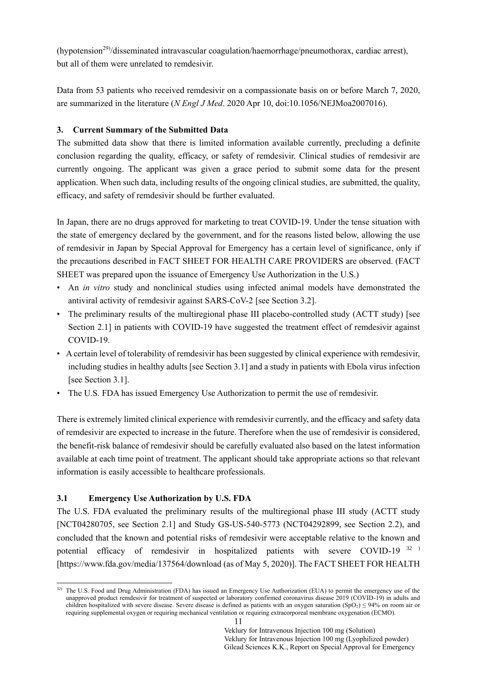(hypotension<sup>29)</sup>/disseminated intravascular coagulation/haemorrhage/pneumothorax, cardiac arrest), but all of them were unrelated to remdesivir.

Data from 53 patients who received remdesivir on a compassionate basis on or before March 7, 2020, are summarized in the literature (*N Engl J Med*. 2020 Apr 10, doi:10.1056/NEJMoa2007016).

## <span id="page-14-0"></span>**3. Current Summary of the Submitted Data**

The submitted data show that there is limited information available currently, precluding a definite conclusion regarding the quality, efficacy, or safety of remdesivir. Clinical studies of remdesivir are currently ongoing. The applicant was given a grace period to submit some data for the present application. When such data, including results of the ongoing clinical studies, are submitted, the quality, efficacy, and safety of remdesivir should be further evaluated.

In Japan, there are no drugs approved for marketing to treat COVID-19. Under the tense situation with the state of emergency declared by the government, and for the reasons listed below, allowing the use of remdesivir in Japan by Special Approval for Emergency has a certain level of significance, only if the precautions described in FACT SHEET FOR HEALTH CARE PROVIDERS are observed. (FACT SHEET was prepared upon the issuance of Emergency Use Authorization in the U.S.)

- An *in vitro* study and nonclinical studies using infected animal models have demonstrated the antiviral activity of remdesivir against SARS-CoV-2 [see Section 3.2].
- The preliminary results of the multiregional phase III placebo-controlled study (ACTT study) [see Section 2.1] in patients with COVID-19 have suggested the treatment effect of remdesivir against COVID-19.
- A certain level of tolerability of remdesivir has been suggested by clinical experience with remdesivir, including studies in healthy adults [see Section 3.1] and a study in patients with Ebola virus infection [see Section 3.1].
- The U.S. FDA has issued Emergency Use Authorization to permit the use of remdesivir.

There is extremely limited clinical experience with remdesivir currently, and the efficacy and safety data of remdesivir are expected to increase in the future. Therefore when the use of remdesivir is considered, the benefit-risk balance of remdesivir should be carefully evaluated also based on the latest information available at each time point of treatment. The applicant should take appropriate actions so that relevant information is easily accessible to healthcare professionals.

## **3.1 Emergency Use Authorization by U.S. FDA**

1

The U.S. FDA evaluated the preliminary results of the multiregional phase III study (ACTT study [NCT04280705, see Section 2.1] and Study GS-US-540-5773 (NCT04292899, see Section 2.2), and concluded that the known and potential risks of remdesivir were acceptable relative to the known and potential efficacy of remdesivir in hospitalized patients with severe COVID-19 32 ) [https://www.fda.gov/media/137564/download (as of May 5, 2020)]. The FACT SHEET FOR HEALTH

<sup>&</sup>lt;sup>32)</sup> The U.S. Food and Drug Administration (FDA) has issued an Emergency Use Authorization (EUA) to permit the emergency use of the unapproved product remdesivir for treatment of suspected or laboratory confirmed coronavirus disease 2019 (COVID-19) in adults and children hospitalized with severe disease. Severe disease is defined as patients with an oxygen saturation  $(SpO<sub>2</sub>) \le 94\%$  on room air or requiring supplemental oxygen or requiring mechanical ventilation or requiring extracorporeal membrane oxygenation (ECMO).

<sup>11</sup>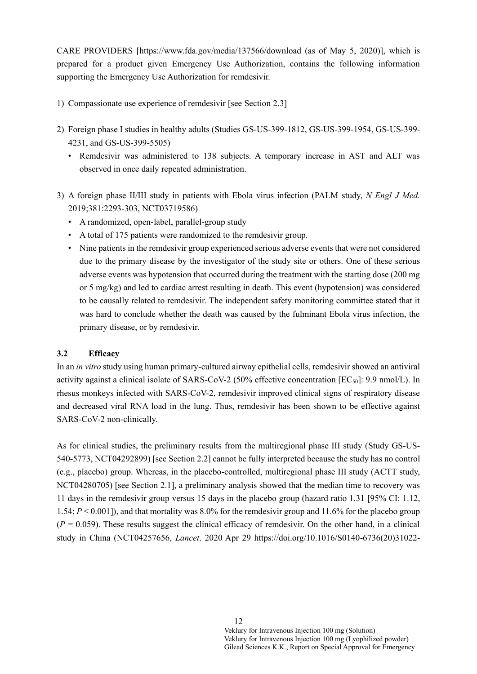CARE PROVIDERS [\[https://www.fda.gov/media/137566/download](https://www.fda.gov/media/137566/download) (as of May 5, 2020)], which is prepared for a product given Emergency Use Authorization, contains the following information supporting the Emergency Use Authorization for remdesivir.

- 1) Compassionate use experience of remdesivir [see Section 2.3]
- 2) Foreign phase I studies in healthy adults (Studies GS-US-399-1812, GS-US-399-1954, GS-US-399- 4231, and GS-US-399-5505)
	- Remdesivir was administered to 138 subjects. A temporary increase in AST and ALT was observed in once daily repeated administration.
- 3) A foreign phase II/III study in patients with Ebola virus infection (PALM study, *N Engl J Med.* 2019;381:2293-303, NCT03719586)
	- A randomized, open-label, parallel-group study
	- A total of 175 patients were randomized to the remdesivir group.
	- Nine patients in the remdesivir group experienced serious adverse events that were not considered due to the primary disease by the investigator of the study site or others. One of these serious adverse events was hypotension that occurred during the treatment with the starting dose (200 mg or 5 mg/kg) and led to cardiac arrest resulting in death. This event (hypotension) was considered to be causally related to remdesivir. The independent safety monitoring committee stated that it was hard to conclude whether the death was caused by the fulminant Ebola virus infection, the primary disease, or by remdesivir.

## **3.2 Efficacy**

In an *in vitro* study using human primary-cultured airway epithelial cells, remdesivir showed an antiviral activity against a clinical isolate of SARS-CoV-2 (50% effective concentration  $[EC_{50}]$ : 9.9 nmol/L). In rhesus monkeys infected with SARS-CoV-2, remdesivir improved clinical signs of respiratory disease and decreased viral RNA load in the lung. Thus, remdesivir has been shown to be effective against SARS-CoV-2 non-clinically.

As for clinical studies, the preliminary results from the multiregional phase III study (Study GS-US-540-5773, NCT04292899) [see Section 2.2] cannot be fully interpreted because the study has no control (e.g., placebo) group. Whereas, in the placebo-controlled, multiregional phase III study (ACTT study, NCT04280705) [see Section 2.1], a preliminary analysis showed that the median time to recovery was 11 days in the remdesivir group versus 15 days in the placebo group (hazard ratio 1.31 [95% CI: 1.12, 1.54; *P* < 0.001]), and that mortality was 8.0% for the remdesivir group and 11.6% for the placebo group  $(P = 0.059)$ . These results suggest the clinical efficacy of remdesivir. On the other hand, in a clinical study in China (NCT04257656, *Lancet*. 2020 Apr 29 https://doi.org/10.1016/S0140-6736(20)31022-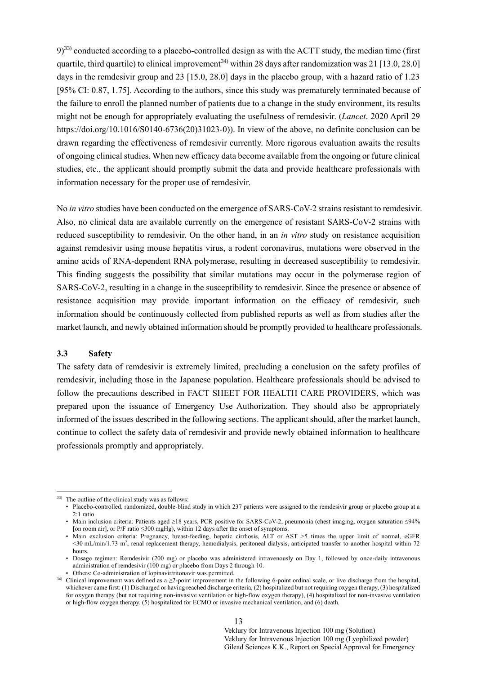$9)$ <sup>33)</sup> conducted according to a placebo-controlled design as with the ACTT study, the median time (first quartile, third quartile) to clinical improvement<sup>34)</sup> within 28 days after randomization was 21 [13.0, 28.0] days in the remdesivir group and 23 [15.0, 28.0] days in the placebo group, with a hazard ratio of 1.23 [95% CI: 0.87, 1.75]. According to the authors, since this study was prematurely terminated because of the failure to enroll the planned number of patients due to a change in the study environment, its results might not be enough for appropriately evaluating the usefulness of remdesivir. (*Lancet*. 2020 April 29 https://doi.org/10.1016/S0140-6736(20)31023-0)). In view of the above, no definite conclusion can be drawn regarding the effectiveness of remdesivir currently. More rigorous evaluation awaits the results of ongoing clinical studies. When new efficacy data become available from the ongoing or future clinical studies, etc., the applicant should promptly submit the data and provide healthcare professionals with information necessary for the proper use of remdesivir.

No *in vitro* studies have been conducted on the emergence of SARS-CoV-2 strains resistant to remdesivir. Also, no clinical data are available currently on the emergence of resistant SARS-CoV-2 strains with reduced susceptibility to remdesivir. On the other hand, in an *in vitro* study on resistance acquisition against remdesivir using mouse hepatitis virus, a rodent coronavirus, mutations were observed in the amino acids of RNA-dependent RNA polymerase, resulting in decreased susceptibility to remdesivir. This finding suggests the possibility that similar mutations may occur in the polymerase region of SARS-CoV-2, resulting in a change in the susceptibility to remdesivir. Since the presence or absence of resistance acquisition may provide important information on the efficacy of remdesivir, such information should be continuously collected from published reports as well as from studies after the market launch, and newly obtained information should be promptly provided to healthcare professionals.

#### **3.3 Safety**

-

The safety data of remdesivir is extremely limited, precluding a conclusion on the safety profiles of remdesivir, including those in the Japanese population. Healthcare professionals should be advised to follow the precautions described in FACT SHEET FOR HEALTH CARE PROVIDERS, which was prepared upon the issuance of Emergency Use Authorization. They should also be appropriately informed of the issues described in the following sections. The applicant should, after the market launch, continue to collect the safety data of remdesivir and provide newly obtained information to healthcare professionals promptly and appropriately.

<sup>33)</sup> The outline of the clinical study was as follows:

<sup>•</sup> Placebo-controlled, randomized, double-blind study in which 237 patients were assigned to the remdesivir group or placebo group at a 2:1 ratio.

<sup>•</sup> Main inclusion criteria: Patients aged ≥18 years, PCR positive for SARS-CoV-2, pneumonia (chest imaging, oxygen saturation ≤94% [on room air], or P/F ratio  $\leq$ 300 mgHg), within 12 days after the onset of symptoms.

<sup>•</sup> Main exclusion criteria: Pregnancy, breast-feeding, hepatic cirrhosis, ALT or AST >5 times the upper limit of normal, eGFR <30 mL/min/1.73 m<sup>2</sup>, renal replacement therapy, hemodialysis, peritoneal dialysis, anticipated transfer to another hospital within 72 hours.

<sup>•</sup> Dosage regimen: Remdesivir (200 mg) or placebo was administered intravenously on Day 1, followed by once-daily intravenous administration of remdesivir (100 mg) or placebo from Days 2 through 10.

<sup>•</sup> Others: Co-administration of lopinavir/ritonavir was permitted.

<sup>34)</sup> Clinical improvement was defined as a ≥2-point improvement in the following 6-point ordinal scale, or live discharge from the hospital, whichever came first: (1) Discharged or having reached discharge criteria, (2) hospitalized but not requiring oxygen therapy, (3) hospitalized for oxygen therapy (but not requiring non-invasive ventilation or high-flow oxygen therapy), (4) hospitalized for non-invasive ventilation or high-flow oxygen therapy, (5) hospitalized for ECMO or invasive mechanical ventilation, and (6) death.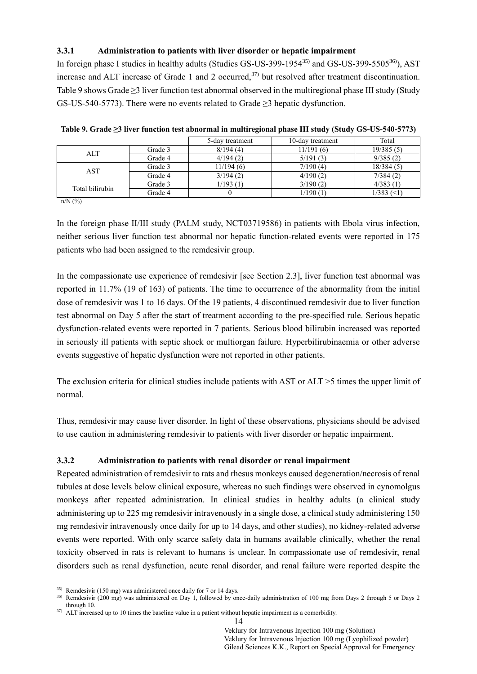## **3.3.1 Administration to patients with liver disorder or hepatic impairment**

In foreign phase I studies in healthy adults (Studies GS-US-399-1954<sup>35)</sup> and GS-US-399-5505<sup>36)</sup>), AST increase and ALT increase of Grade 1 and 2 occurred,<sup>37)</sup> but resolved after treatment discontinuation. Table 9 shows Grade ≥3 liver function test abnormal observed in the multiregional phase III study (Study GS-US-540-5773). There were no events related to Grade ≥3 hepatic dysfunction.

|                 |         | 5-day treatment | 10-day treatment | Total        |
|-----------------|---------|-----------------|------------------|--------------|
| <b>ALT</b>      | Grade 3 | 8/194(4)        | 11/191(6)        | 19/385(5)    |
|                 | Grade 4 | 4/194(2)        | 5/191(3)         | 9/385(2)     |
| <b>AST</b>      | Grade 3 | 11/194(6)       | 7/190(4)         | 18/384(5)    |
|                 | Grade 4 | 3/194(2)        | 4/190(2)         | 7/384(2)     |
| Total bilirubin | Grade 3 | 1/193 (1)       | 3/190(2)         | 4/383(1)     |
|                 | Grade 4 |                 | 1/190(1)         | $1/383$ (<1) |

|  |  |  | Table 9. Grade ≥3 liver function test abnormal in multiregional phase III study (Study GS-US-540-5773) |  |
|--|--|--|--------------------------------------------------------------------------------------------------------|--|
|  |  |  |                                                                                                        |  |

n/N (%)

1

In the foreign phase II/III study (PALM study, NCT03719586) in patients with Ebola virus infection, neither serious liver function test abnormal nor hepatic function-related events were reported in 175 patients who had been assigned to the remdesivir group.

In the compassionate use experience of remdesivir [see Section 2.3], liver function test abnormal was reported in 11.7% (19 of 163) of patients. The time to occurrence of the abnormality from the initial dose of remdesivir was 1 to 16 days. Of the 19 patients, 4 discontinued remdesivir due to liver function test abnormal on Day 5 after the start of treatment according to the pre-specified rule. Serious hepatic dysfunction-related events were reported in 7 patients. Serious blood bilirubin increased was reported in seriously ill patients with septic shock or multiorgan failure. Hyperbilirubinaemia or other adverse events suggestive of hepatic dysfunction were not reported in other patients.

The exclusion criteria for clinical studies include patients with AST or ALT >5 times the upper limit of normal.

Thus, remdesivir may cause liver disorder. In light of these observations, physicians should be advised to use caution in administering remdesivir to patients with liver disorder or hepatic impairment.

## **3.3.2 Administration to patients with renal disorder or renal impairment**

Repeated administration of remdesivir to rats and rhesus monkeys caused degeneration/necrosis of renal tubules at dose levels below clinical exposure, whereas no such findings were observed in cynomolgus monkeys after repeated administration. In clinical studies in healthy adults (a clinical study administering up to 225 mg remdesivir intravenously in a single dose, a clinical study administering 150 mg remdesivir intravenously once daily for up to 14 days, and other studies), no kidney-related adverse events were reported. With only scarce safety data in humans available clinically, whether the renal toxicity observed in rats is relevant to humans is unclear. In compassionate use of remdesivir, renal disorders such as renal dysfunction, acute renal disorder, and renal failure were reported despite the

<sup>35)</sup> Remdesivir (150 mg) was administered once daily for 7 or 14 days.

<sup>36)</sup> Remdesivir (200 mg) was administered on Day 1, followed by once-daily administration of 100 mg from Days 2 through 5 or Days 2 through 10.

 $37)$  ALT increased up to 10 times the baseline value in a patient without hepatic impairment as a comorbidity.

<sup>14</sup>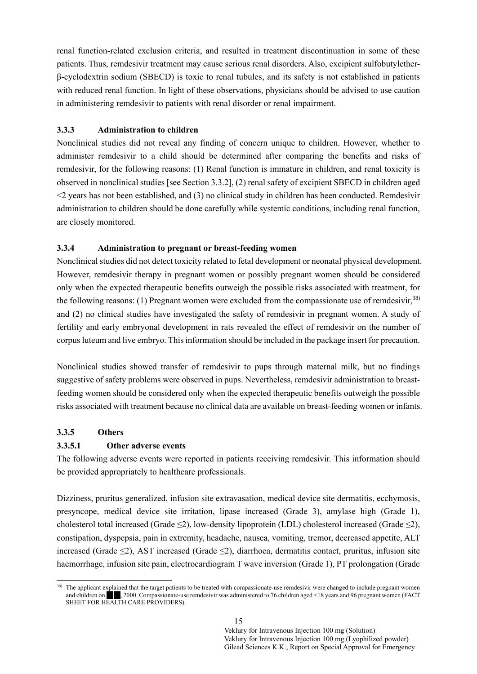renal function-related exclusion criteria, and resulted in treatment discontinuation in some of these patients. Thus, remdesivir treatment may cause serious renal disorders. Also, excipient sulfobutyletherβ-cyclodextrin sodium (SBECD) is toxic to renal tubules, and its safety is not established in patients with reduced renal function. In light of these observations, physicians should be advised to use caution in administering remdesivir to patients with renal disorder or renal impairment.

### **3.3.3 Administration to children**

Nonclinical studies did not reveal any finding of concern unique to children. However, whether to administer remdesivir to a child should be determined after comparing the benefits and risks of remdesivir, for the following reasons: (1) Renal function is immature in children, and renal toxicity is observed in nonclinical studies [see Section 3.3.2], (2) renal safety of excipient SBECD in children aged <2 years has not been established, and (3) no clinical study in children has been conducted. Remdesivir administration to children should be done carefully while systemic conditions, including renal function, are closely monitored.

### **3.3.4 Administration to pregnant or breast-feeding women**

Nonclinical studies did not detect toxicity related to fetal development or neonatal physical development. However, remdesivir therapy in pregnant women or possibly pregnant women should be considered only when the expected therapeutic benefits outweigh the possible risks associated with treatment, for the following reasons: (1) Pregnant women were excluded from the compassionate use of remdesivir,  $38$ ) and (2) no clinical studies have investigated the safety of remdesivir in pregnant women. A study of fertility and early embryonal development in rats revealed the effect of remdesivir on the number of corpus luteum and live embryo. This information should be included in the package insert for precaution.

Nonclinical studies showed transfer of remdesivir to pups through maternal milk, but no findings suggestive of safety problems were observed in pups. Nevertheless, remdesivir administration to breastfeeding women should be considered only when the expected therapeutic benefits outweigh the possible risks associated with treatment because no clinical data are available on breast-feeding women or infants.

#### **3.3.5 Others**

### **3.3.5.1 Other adverse events**

The following adverse events were reported in patients receiving remdesivir. This information should be provided appropriately to healthcare professionals.

Dizziness, pruritus generalized, infusion site extravasation, medical device site dermatitis, ecchymosis, presyncope, medical device site irritation, lipase increased (Grade 3), amylase high (Grade 1), cholesterol total increased (Grade  $\leq$ 2), low-density lipoprotein (LDL) cholesterol increased (Grade  $\leq$ 2), constipation, dyspepsia, pain in extremity, headache, nausea, vomiting, tremor, decreased appetite, ALT increased (Grade ≤2), AST increased (Grade ≤2), diarrhoea, dermatitis contact, pruritus, infusion site haemorrhage, infusion site pain, electrocardiogram T wave inversion (Grade 1), PT prolongation (Grade

<sup>1</sup> <sup>38)</sup> The applicant explained that the target patients to be treated with compassionate-use remdesivir were changed to include pregnant women and children on  $\blacksquare$ , 2000. Compassionate-use remdesivir was administered to 76 children aged <18 years and 96 pregnant women (FACT SHEET FOR HEALTH CARE PROVIDERS).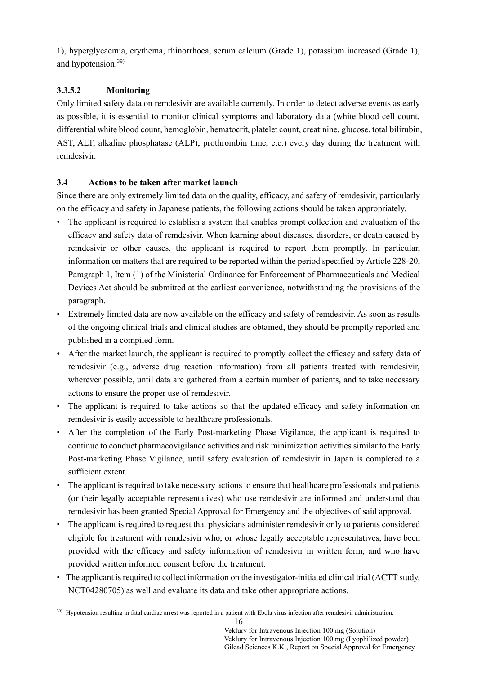1), hyperglycaemia, erythema, rhinorrhoea, serum calcium (Grade 1), potassium increased (Grade 1), and hypotension. 39)

# **3.3.5.2 Monitoring**

Only limited safety data on remdesivir are available currently. In order to detect adverse events as early as possible, it is essential to monitor clinical symptoms and laboratory data (white blood cell count, differential white blood count, hemoglobin, hematocrit, platelet count, creatinine, glucose, total bilirubin, AST, ALT, alkaline phosphatase (ALP), prothrombin time, etc.) every day during the treatment with remdesivir.

## **3.4 Actions to be taken after market launch**

Since there are only extremely limited data on the quality, efficacy, and safety of remdesivir, particularly on the efficacy and safety in Japanese patients, the following actions should be taken appropriately.

- The applicant is required to establish a system that enables prompt collection and evaluation of the efficacy and safety data of remdesivir. When learning about diseases, disorders, or death caused by remdesivir or other causes, the applicant is required to report them promptly. In particular, information on matters that are required to be reported within the period specified by Article 228-20, Paragraph 1, Item (1) of the Ministerial Ordinance for Enforcement of Pharmaceuticals and Medical Devices Act should be submitted at the earliest convenience, notwithstanding the provisions of the paragraph.
- Extremely limited data are now available on the efficacy and safety of remdesivir. As soon as results of the ongoing clinical trials and clinical studies are obtained, they should be promptly reported and published in a compiled form.
- After the market launch, the applicant is required to promptly collect the efficacy and safety data of remdesivir (e.g., adverse drug reaction information) from all patients treated with remdesivir, wherever possible, until data are gathered from a certain number of patients, and to take necessary actions to ensure the proper use of remdesivir.
- The applicant is required to take actions so that the updated efficacy and safety information on remdesivir is easily accessible to healthcare professionals.
- After the completion of the Early Post-marketing Phase Vigilance, the applicant is required to continue to conduct pharmacovigilance activities and risk minimization activities similar to the Early Post-marketing Phase Vigilance, until safety evaluation of remdesivir in Japan is completed to a sufficient extent.
- The applicant is required to take necessary actions to ensure that healthcare professionals and patients (or their legally acceptable representatives) who use remdesivir are informed and understand that remdesivir has been granted Special Approval for Emergency and the objectives of said approval.
- The applicant is required to request that physicians administer remdesivir only to patients considered eligible for treatment with remdesivir who, or whose legally acceptable representatives, have been provided with the efficacy and safety information of remdesivir in written form, and who have provided written informed consent before the treatment.
- The applicant is required to collect information on the investigator-initiated clinical trial (ACTT study, NCT04280705) as well and evaluate its data and take other appropriate actions.

<sup>1</sup> <sup>39)</sup> Hypotension resulting in fatal cardiac arrest was reported in a patient with Ebola virus infection after remdesivir administration.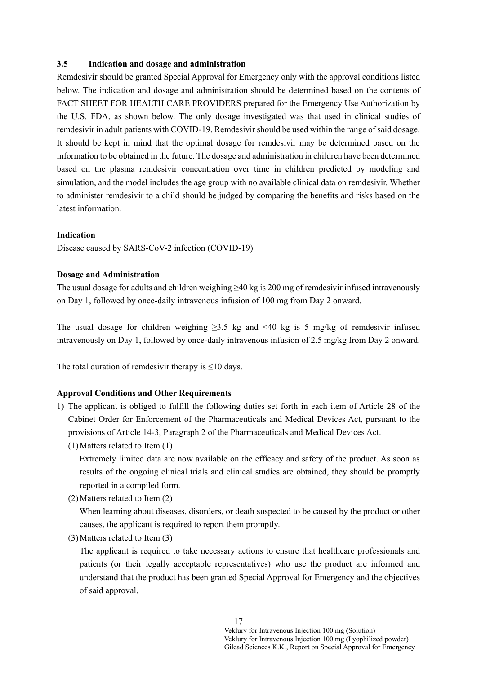### **3.5 Indication and dosage and administration**

Remdesivir should be granted Special Approval for Emergency only with the approval conditions listed below. The indication and dosage and administration should be determined based on the contents of FACT SHEET FOR HEALTH CARE PROVIDERS prepared for the Emergency Use Authorization by the U.S. FDA, as shown below. The only dosage investigated was that used in clinical studies of remdesivir in adult patients with COVID-19. Remdesivir should be used within the range of said dosage. It should be kept in mind that the optimal dosage for remdesivir may be determined based on the information to be obtained in the future. The dosage and administration in children have been determined based on the plasma remdesivir concentration over time in children predicted by modeling and simulation, and the model includes the age group with no available clinical data on remdesivir. Whether to administer remdesivir to a child should be judged by comparing the benefits and risks based on the latest information.

### **Indication**

Disease caused by SARS-CoV-2 infection (COVID-19)

#### **Dosage and Administration**

The usual dosage for adults and children weighing ≥40 kg is 200 mg of remdesivir infused intravenously on Day 1, followed by once-daily intravenous infusion of 100 mg from Day 2 onward.

The usual dosage for children weighing  $\geq 3.5$  kg and <40 kg is 5 mg/kg of remdesivir infused intravenously on Day 1, followed by once-daily intravenous infusion of 2.5 mg/kg from Day 2 onward.

The total duration of remdesivir therapy is  $\leq$ 10 days.

### **Approval Conditions and Other Requirements**

- 1) The applicant is obliged to fulfill the following duties set forth in each item of Article 28 of the Cabinet Order for Enforcement of the Pharmaceuticals and Medical Devices Act, pursuant to the provisions of Article 14-3, Paragraph 2 of the Pharmaceuticals and Medical Devices Act.
	- (1)Matters related to Item (1)

Extremely limited data are now available on the efficacy and safety of the product. As soon as results of the ongoing clinical trials and clinical studies are obtained, they should be promptly reported in a compiled form.

(2)Matters related to Item (2)

When learning about diseases, disorders, or death suspected to be caused by the product or other causes, the applicant is required to report them promptly.

(3)Matters related to Item (3)

The applicant is required to take necessary actions to ensure that healthcare professionals and patients (or their legally acceptable representatives) who use the product are informed and understand that the product has been granted Special Approval for Emergency and the objectives of said approval.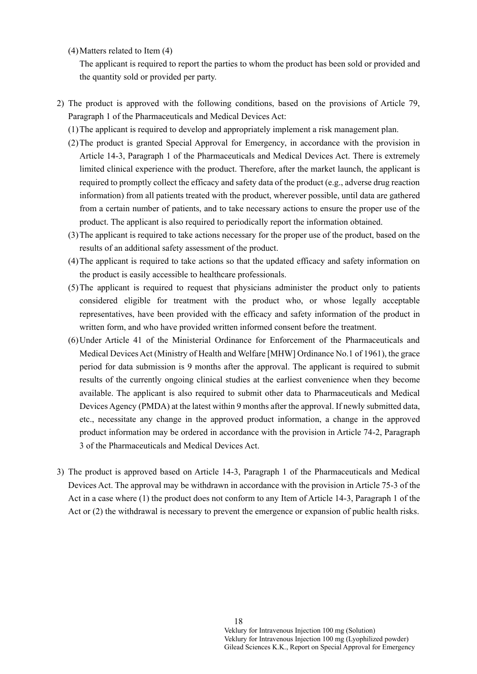(4)Matters related to Item (4)

The applicant is required to report the parties to whom the product has been sold or provided and the quantity sold or provided per party.

- 2) The product is approved with the following conditions, based on the provisions of Article 79, Paragraph 1 of the Pharmaceuticals and Medical Devices Act:
	- (1)The applicant is required to develop and appropriately implement a risk management plan.
	- (2)The product is granted Special Approval for Emergency, in accordance with the provision in Article 14-3, Paragraph 1 of the Pharmaceuticals and Medical Devices Act. There is extremely limited clinical experience with the product. Therefore, after the market launch, the applicant is required to promptly collect the efficacy and safety data of the product (e.g., adverse drug reaction information) from all patients treated with the product, wherever possible, until data are gathered from a certain number of patients, and to take necessary actions to ensure the proper use of the product. The applicant is also required to periodically report the information obtained.
	- (3)The applicant is required to take actions necessary for the proper use of the product, based on the results of an additional safety assessment of the product.
	- (4)The applicant is required to take actions so that the updated efficacy and safety information on the product is easily accessible to healthcare professionals.
	- (5)The applicant is required to request that physicians administer the product only to patients considered eligible for treatment with the product who, or whose legally acceptable representatives, have been provided with the efficacy and safety information of the product in written form, and who have provided written informed consent before the treatment.
	- (6)Under Article 41 of the Ministerial Ordinance for Enforcement of the Pharmaceuticals and Medical Devices Act (Ministry of Health and Welfare [MHW] Ordinance No.1 of 1961), the grace period for data submission is 9 months after the approval. The applicant is required to submit results of the currently ongoing clinical studies at the earliest convenience when they become available. The applicant is also required to submit other data to Pharmaceuticals and Medical Devices Agency (PMDA) at the latest within 9 months after the approval. If newly submitted data, etc., necessitate any change in the approved product information, a change in the approved product information may be ordered in accordance with the provision in Article 74-2, Paragraph 3 of the Pharmaceuticals and Medical Devices Act.
- 3) The product is approved based on Article 14-3, Paragraph 1 of the Pharmaceuticals and Medical Devices Act. The approval may be withdrawn in accordance with the provision in Article 75-3 of the Act in a case where (1) the product does not conform to any Item of Article 14-3, Paragraph 1 of the Act or (2) the withdrawal is necessary to prevent the emergence or expansion of public health risks.